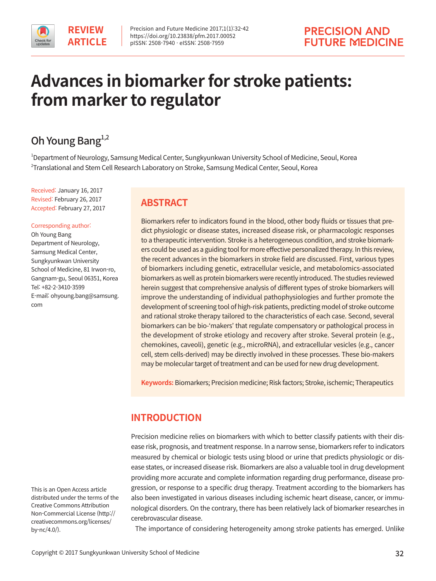# **Advances in biomarker for stroke patients: from marker to regulator**

# Oh Young Bang $^{1,2}$

1 Department of Neurology, Samsung Medical Center, Sungkyunkwan University School of Medicine, Seoul, Korea  $^{\rm 2}$ Translational and Stem Cell Research Laboratory on Stroke, Samsung Medical Center, Seoul, Korea

Received: January 16, 2017 Revised: February 26, 2017 Accepted: February 27, 2017

#### Corresponding author:

Oh Young Bang Department of Neurology, Samsung Medical Center, Sungkyunkwan University School of Medicine, 81 Irwon-ro, Gangnam-gu, Seoul 06351, Korea Tel: +82-2-3410-3599 E-mail: ohyoung.bang@samsung. com

# **ABSTRACT**

Biomarkers refer to indicators found in the blood, other body fluids or tissues that predict physiologic or disease states, increased disease risk, or pharmacologic responses to a therapeutic intervention. Stroke is a heterogeneous condition, and stroke biomarkers could be used as a guiding tool for more effective personalized therapy. In this review, the recent advances in the biomarkers in stroke field are discussed. First, various types of biomarkers including genetic, extracellular vesicle, and metabolomics-associated biomarkers as well as protein biomarkers were recently introduced. The studies reviewed herein suggest that comprehensive analysis of different types of stroke biomarkers will improve the understanding of individual pathophysiologies and further promote the development of screening tool of high-risk patients, predicting model of stroke outcome and rational stroke therapy tailored to the characteristics of each case. Second, several biomarkers can be bio-'makers' that regulate compensatory or pathological process in the development of stroke etiology and recovery after stroke. Several protein (e.g., chemokines, caveoli), genetic (e.g., microRNA), and extracellular vesicles (e.g., cancer cell, stem cells-derived) may be directly involved in these processes. These bio-makers may be molecular target of treatment and can be used for new drug development.

**Keywords:** Biomarkers; Precision medicine; Risk factors; Stroke, ischemic; Therapeutics

# **INTRODUCTION**

Precision medicine relies on biomarkers with which to better classify patients with their disease risk, prognosis, and treatment response. In a narrow sense, biomarkers refer to indicators measured by chemical or biologic tests using blood or urine that predicts physiologic or disease states, or increased disease risk. Biomarkers are also a valuable tool in drug development providing more accurate and complete information regarding drug performance, disease progression, or response to a specific drug therapy. Treatment according to the biomarkers has also been investigated in various diseases including ischemic heart disease, cancer, or immunological disorders. On the contrary, there has been relatively lack of biomarker researches in cerebrovascular disease.

The importance of considering heterogeneity among stroke patients has emerged. Unlike

This is an Open Access article distributed under the terms of the Creative Commons Attribution Non-Commercial License (http:// creativecommons.org/licenses/ by-nc/4.0/).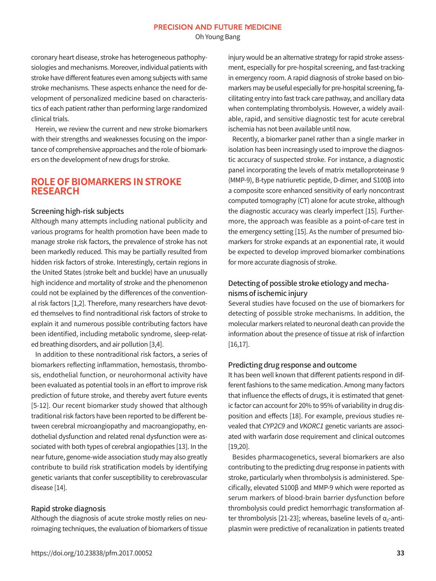Oh Young Bang

coronary heart disease, stroke has heterogeneous pathophysiologies and mechanisms. Moreover, individual patients with stroke have different features even among subjects with same stroke mechanisms. These aspects enhance the need for development of personalized medicine based on characteristics of each patient rather than performing large randomized clinical trials.

Herein, we review the current and new stroke biomarkers with their strengths and weaknesses focusing on the importance of comprehensive approaches and the role of biomarkers on the development of new drugs for stroke.

### **ROLE OF BIOMARKERS IN STROKE RESEARCH**

#### Screening high-risk subjects

Although many attempts including national publicity and various programs for health promotion have been made to manage stroke risk factors, the prevalence of stroke has not been markedly reduced. This may be partially resulted from hidden risk factors of stroke. Interestingly, certain regions in the United States (stroke belt and buckle) have an unusually high incidence and mortality of stroke and the phenomenon could not be explained by the differences of the conventional risk factors [1,2]. Therefore, many researchers have devoted themselves to find nontraditional risk factors of stroke to explain it and numerous possible contributing factors have been identified, including metabolic syndrome, sleep-related breathing disorders, and air pollution [3,4].

In addition to these nontraditional risk factors, a series of biomarkers reflecting inflammation, hemostasis, thrombosis, endothelial function, or neurohormonal activity have been evaluated as potential tools in an effort to improve risk prediction of future stroke, and thereby avert future events [5-12]. Our recent biomarker study showed that although traditional risk factors have been reported to be different between cerebral microangiopathy and macroangiopathy, endothelial dysfunction and related renal dysfunction were associated with both types of cerebral angiopathies [13]. In the near future, genome-wide association study may also greatly contribute to build risk stratification models by identifying genetic variants that confer susceptibility to cerebrovascular disease [14].

#### Rapid stroke diagnosis

Although the diagnosis of acute stroke mostly relies on neuroimaging techniques, the evaluation of biomarkers of tissue injury would be an alternative strategy for rapid stroke assessment, especially for pre-hospital screening, and fast-tracking in emergency room. A rapid diagnosis of stroke based on biomarkers may be useful especially for pre-hospital screening, facilitating entry into fast track care pathway, and ancillary data when contemplating thrombolysis. However, a widely available, rapid, and sensitive diagnostic test for acute cerebral ischemia has not been available until now.

Recently, a biomarker panel rather than a single marker in isolation has been increasingly used to improve the diagnostic accuracy of suspected stroke. For instance, a diagnostic panel incorporating the levels of matrix metalloproteinase 9 (MMP-9), B-type natriuretic peptide, D-dimer, and S100β into a composite score enhanced sensitivity of early noncontrast computed tomography (CT) alone for acute stroke, although the diagnostic accuracy was clearly imperfect [15]. Furthermore, the approach was feasible as a point-of-care test in the emergency setting [15]. As the number of presumed biomarkers for stroke expands at an exponential rate, it would be expected to develop improved biomarker combinations for more accurate diagnosis of stroke.

### Detecting of possible stroke etiology and mechanisms of ischemic injury

Several studies have focused on the use of biomarkers for detecting of possible stroke mechanisms. In addition, the molecular markers related to neuronal death can provide the information about the presence of tissue at risk of infarction [16,17].

#### Predicting drug response and outcome

It has been well known that different patients respond in different fashions to the same medication. Among many factors that influence the effects of drugs, it is estimated that genetic factor can account for 20% to 95% of variability in drug disposition and effects [18]. For example, previous studies revealed that CYP2C9 and VKORC1 genetic variants are associated with warfarin dose requirement and clinical outcomes [19,20].

Besides pharmacogenetics, several biomarkers are also contributing to the predicting drug response in patients with stroke, particularly when thrombolysis is administered. Specifically, elevated S100β and MMP-9 which were reported as serum markers of blood-brain barrier dysfunction before thrombolysis could predict hemorrhagic transformation after thrombolysis [21-23]; whereas, baseline levels of  $\alpha_2$ -antiplasmin were predictive of recanalization in patients treated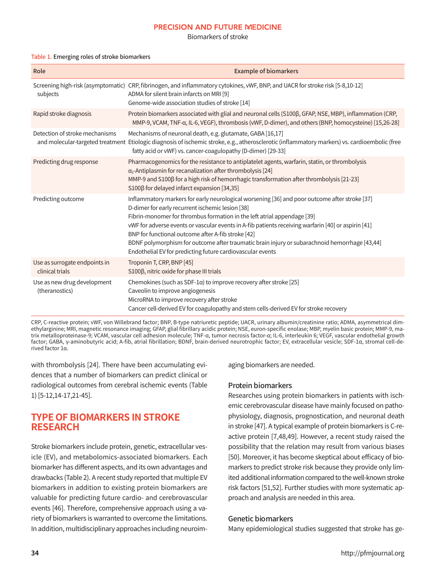Biomarkers of stroke

#### Table 1. Emerging roles of stroke biomarkers

| Role                                             | <b>Example of biomarkers</b>                                                                                                                                                                                                                                                                                                                                                                                                                                                                                                                             |
|--------------------------------------------------|----------------------------------------------------------------------------------------------------------------------------------------------------------------------------------------------------------------------------------------------------------------------------------------------------------------------------------------------------------------------------------------------------------------------------------------------------------------------------------------------------------------------------------------------------------|
| subjects                                         | Screening high-risk (asymptomatic) CRP, fibrinogen, and inflammatory cytokines, vWF, BNP, and UACR for stroke risk [5-8,10-12]<br>ADMA for silent brain infarcts on MRI [9]<br>Genome-wide association studies of stroke [14]                                                                                                                                                                                                                                                                                                                            |
| Rapid stroke diagnosis                           | Protein biomarkers associated with glial and neuronal cells (S100ß, GFAP, NSE, MBP), inflammation (CRP,<br>MMP-9, VCAM, TNF-α, IL-6, VEGF), thrombosis (vWF, D-dimer), and others (BNP, homocysteine) [15,26-28]                                                                                                                                                                                                                                                                                                                                         |
| Detection of stroke mechanisms                   | Mechanisms of neuronal death, e.g. glutamate, GABA [16,17]<br>and molecular-targeted treatment Etiologic diagnosis of ischemic stroke, e.g., atherosclerotic (inflammatory markers) vs. cardioembolic (free<br>fatty acid or vWF) vs. cancer-coagulopathy (D-dimer) [29-33]                                                                                                                                                                                                                                                                              |
| Predicting drug response                         | Pharmacogenomics for the resistance to antiplatelet agents, warfarin, statin, or thrombolysis<br>$\alpha$ <sub>2</sub> -Antiplasmin for recanalization after thrombolysis [24]<br>MMP-9 and S100β for a high risk of hemorrhagic transformation after thrombolysis [21-23]<br>S100β for delayed infarct expansion [34,35]                                                                                                                                                                                                                                |
| Predicting outcome                               | Inflammatory markers for early neurological worsening [36] and poor outcome after stroke [37]<br>D-dimer for early recurrent ischemic lesion [38]<br>Fibrin-monomer for thrombus formation in the left atrial appendage [39]<br>vWF for adverse events or vascular events in A-fib patients receiving warfarin [40] or aspirin [41]<br>BNP for functional outcome after A-fib stroke [42]<br>BDNF polymorphism for outcome after traumatic brain injury or subarachnoid hemorrhage [43,44]<br>Endothelial EV for predicting future cardiovascular events |
| Use as surrogate endpoints in<br>clinical trials | Troponin T, CRP, BNP [45]<br>S100β, nitric oxide for phase III trials                                                                                                                                                                                                                                                                                                                                                                                                                                                                                    |
| Use as new drug development<br>(theranostics)    | Chemokines (such as SDF-1 $\alpha$ ) to improve recovery after stroke [25]<br>Caveolin to improve angiogenesis<br>MicroRNA to improve recovery after stroke<br>Cancer cell-derived EV for coagulopathy and stem cells-derived EV for stroke recovery                                                                                                                                                                                                                                                                                                     |

CRP, C-reactive protein; vWF, von Willebrand factor; BNP, B-type natriuretic peptide; UACR, urinary albumin/creatinine ratio; ADMA, asymmetrical dimethylarginine; MRI, magnetic resonance imaging; GFAP, glial fibrillary acidic protein; NSE, euron-specific enolase; MBP, myelin basic protein; MMP-9, matrix metalloproteinase-9; VCAM, vascular cell adhesion molecule; TNF-α, tumor necrosis factor-α; IL-6, interleukin 6; VEGF, vascular endothelial growth factor; GABA, γ-aminobutyric acid; A-fib, atrial fibrillation; BDNF, brain-derived neurotrophic factor; EV, extracellular vesicle; SDF-1α, stromal cell-derived factor 1α.

with thrombolysis [24]. There have been accumulating evidences that a number of biomarkers can predict clinical or radiological outcomes from cerebral ischemic events (Table 1) [5-12,14-17,21-45].

### **TYPE OF BIOMARKERS IN STROKE RESEARCH**

Stroke biomarkers include protein, genetic, extracellular vesicle (EV), and metabolomics-associated biomarkers. Each biomarker has different aspects, and its own advantages and drawbacks (Table 2). A recent study reported that multiple EV biomarkers in addition to existing protein biomarkers are valuable for predicting future cardio- and cerebrovascular events [46]. Therefore, comprehensive approach using a variety of biomarkers is warranted to overcome the limitations. In addition, multidisciplinary approaches including neuroimaging biomarkers are needed.

#### Protein biomarkers

Researches using protein biomarkers in patients with ischemic cerebrovascular disease have mainly focused on pathophysiology, diagnosis, prognostication, and neuronal death in stroke [47]. A typical example of protein biomarkers is C-reactive protein [7,48,49]. However, a recent study raised the possibility that the relation may result from various biases [50]. Moreover, it has become skeptical about efficacy of biomarkers to predict stroke risk because they provide only limited additional information compared to the well-known stroke risk factors [51,52]. Further studies with more systematic approach and analysis are needed in this area.

#### Genetic biomarkers

Many epidemiological studies suggested that stroke has ge-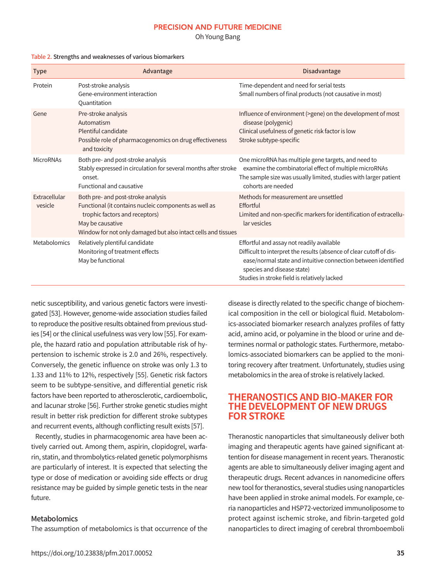Oh Young Bang

| <b>Type</b>              | Advantage                                                                                                                                                                                                          | <b>Disadvantage</b>                                                                                                                                                                                                                                             |
|--------------------------|--------------------------------------------------------------------------------------------------------------------------------------------------------------------------------------------------------------------|-----------------------------------------------------------------------------------------------------------------------------------------------------------------------------------------------------------------------------------------------------------------|
| Protein                  | Post-stroke analysis<br>Gene-environment interaction<br>Quantitation                                                                                                                                               | Time-dependent and need for serial tests<br>Small numbers of final products (not causative in most)                                                                                                                                                             |
| Gene                     | Pre-stroke analysis<br>Automatism<br>Plentiful candidate<br>Possible role of pharmacogenomics on drug effectiveness<br>and toxicity                                                                                | Influence of environment (>gene) on the development of most<br>disease (polygenic)<br>Clinical usefulness of genetic risk factor is low<br>Stroke subtype-specific                                                                                              |
| <b>MicroRNAs</b>         | Both pre- and post-stroke analysis<br>Stably expressed in circulation for several months after stroke<br>onset.<br>Functional and causative                                                                        | One microRNA has multiple gene targets, and need to<br>examine the combinatorial effect of multiple microRNAs<br>The sample size was usually limited, studies with larger patient<br>cohorts are needed                                                         |
| Extracellular<br>vesicle | Both pre- and post-stroke analysis<br>Functional (it contains nucleic components as well as<br>trophic factors and receptors)<br>May be causative<br>Window for not only damaged but also intact cells and tissues | Methods for measurement are unsettled<br>Effortful<br>Limited and non-specific markers for identification of extracellu-<br>lar vesicles                                                                                                                        |
| Metabolomics             | Relatively plentiful candidate<br>Monitoring of treatment effects<br>May be functional                                                                                                                             | Effortful and assay not readily available<br>Difficult to interpret the results (absence of clear cutoff of dis-<br>ease/normal state and intuitive connection between identified<br>species and disease state)<br>Studies in stroke field is relatively lacked |

#### Table 2. Strengths and weaknesses of various biomarkers

netic susceptibility, and various genetic factors were investigated [53]. However, genome-wide association studies failed to reproduce the positive results obtained from previous studies [54] or the clinical usefulness was very low [55]. For example, the hazard ratio and population attributable risk of hypertension to ischemic stroke is 2.0 and 26%, respectively. Conversely, the genetic influence on stroke was only 1.3 to 1.33 and 11% to 12%, respectively [55]. Genetic risk factors seem to be subtype-sensitive, and differential genetic risk factors have been reported to atherosclerotic, cardioembolic, and lacunar stroke [56]. Further stroke genetic studies might result in better risk prediction for different stroke subtypes and recurrent events, although conflicting result exists [57].

Recently, studies in pharmacogenomic area have been actively carried out. Among them, aspirin, clopidogrel, warfarin, statin, and thrombolytics-related genetic polymorphisms are particularly of interest. It is expected that selecting the type or dose of medication or avoiding side effects or drug resistance may be guided by simple genetic tests in the near future.

#### Metabolomics

The assumption of metabolomics is that occurrence of the

disease is directly related to the specific change of biochemical composition in the cell or biological fluid. Metabolomics-associated biomarker research analyzes profiles of fatty acid, amino acid, or polyamine in the blood or urine and determines normal or pathologic states. Furthermore, metabolomics-associated biomarkers can be applied to the monitoring recovery after treatment. Unfortunately, studies using metabolomics in the area of stroke is relatively lacked.

### **THERANOSTICS AND BIO-MAKER FOR THE DEVELOPMENT OF NEW DRUGS FOR STROKE**

Theranostic nanoparticles that simultaneously deliver both imaging and therapeutic agents have gained significant attention for disease management in recent years. Theranostic agents are able to simultaneously deliver imaging agent and therapeutic drugs. Recent advances in nanomedicine offers new tool for theranostics, several studies using nanoparticles have been applied in stroke animal models. For example, ceria nanoparticles and HSP72-vectorized immunoliposome to protect against ischemic stroke, and fibrin-targeted gold nanoparticles to direct imaging of cerebral thromboemboli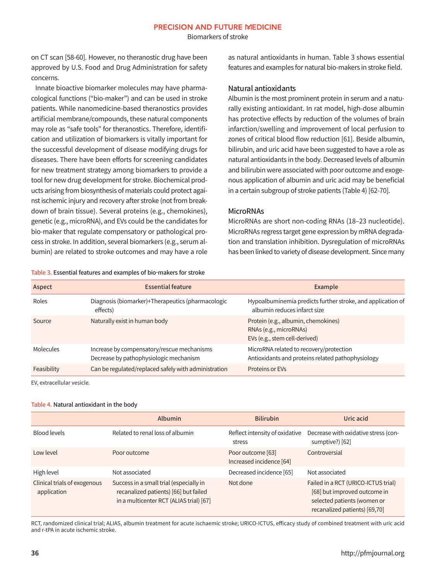Biomarkers of stroke

on CT scan [58-60]. However, no theranostic drug have been approved by U.S. Food and Drug Administration for safety concerns.

Innate bioactive biomarker molecules may have pharmacological functions ("bio-maker") and can be used in stroke patients. While nanomedicine-based theranostics provides artificial membrane/compounds, these natural components may role as "safe tools" for theranostics. Therefore, identification and utilization of biomarkers is vitally important for the successful development of disease modifying drugs for diseases. There have been efforts for screening candidates for new treatment strategy among biomarkers to provide a tool for new drug development for stroke. Biochemical products arising from biosynthesis of materials could protect against ischemic injury and recovery after stroke (not from breakdown of brain tissue). Several proteins (e.g., chemokines), genetic (e.g., microRNA), and EVs could be the candidates for bio-maker that regulate compensatory or pathological process in stroke. In addition, several biomarkers (e.g., serum albumin) are related to stroke outcomes and may have a role

Table 3. Essential features and examples of bio-makers for stroke

as natural antioxidants in human. Table 3 shows essential features and examples for natural bio-makers in stroke field.

#### Natural antioxidants

Albumin is the most prominent protein in serum and a naturally existing antioxidant. In rat model, high-dose albumin has protective effects by reduction of the volumes of brain infarction/swelling and improvement of local perfusion to zones of critical blood flow reduction [61]. Beside albumin, bilirubin, and uric acid have been suggested to have a role as natural antioxidants in the body. Decreased levels of albumin and bilirubin were associated with poor outcome and exogenous application of albumin and uric acid may be beneficial in a certain subgroup of stroke patients (Table 4) [62-70].

#### **MicroRNAs**

MicroRNAs are short non-coding RNAs (18–23 nucleotide). MicroRNAs regress target gene expression by mRNA degradation and translation inhibition. Dysregulation of microRNAs has been linked to variety of disease development. Since many

| Aspect      | <b>Essential feature</b>                                                             | Example                                                                                        |  |
|-------------|--------------------------------------------------------------------------------------|------------------------------------------------------------------------------------------------|--|
| Roles       | Diagnosis (biomarker)+Therapeutics (pharmacologic<br>effects)                        | Hypoalbuminemia predicts further stroke, and application of<br>albumin reduces infarct size    |  |
| Source      | Naturally exist in human body                                                        | Protein (e.g., albumin, chemokines)<br>RNAs (e.g., microRNAs)<br>EVs (e.g., stem cell-derived) |  |
| Molecules   | Increase by compensatory/rescue mechanisms<br>Decrease by pathophysiologic mechanism | MicroRNA related to recovery/protection<br>Antioxidants and proteins related pathophysiology   |  |
| Feasibility | Can be regulated/replaced safely with administration                                 | Proteins or EVs                                                                                |  |

EV, extracellular vesicle.

#### Table 4. Natural antioxidant in the body

|                                             | Albumin                                                                                                                     | <b>Bilirubin</b>                              | Uric acid                                                                                                                           |
|---------------------------------------------|-----------------------------------------------------------------------------------------------------------------------------|-----------------------------------------------|-------------------------------------------------------------------------------------------------------------------------------------|
| Blood levels                                | Related to renal loss of albumin                                                                                            | Reflect intensity of oxidative<br>stress      | Decrease with oxidative stress (con-<br>sumptive?) [62]                                                                             |
| Low level                                   | Poor outcome                                                                                                                | Poor outcome [63]<br>Increased incidence [64] | Controversial                                                                                                                       |
| High level                                  | Not associated                                                                                                              | Decreased incidence [65]                      | Not associated                                                                                                                      |
| Clinical trials of exogenous<br>application | Success in a small trial (especially in<br>recanalized patients) [66] but failed<br>in a multicenter RCT (ALIAS trial) [67] | Not done                                      | Failed in a RCT (URICO-ICTUS trial)<br>[68] but improved outcome in<br>selected patients (women or<br>recanalized patients) [69,70] |

RCT, randomized clinical trial; ALIAS, albumin treatment for acute ischaemic stroke; URICO-ICTUS, efficacy study of combined treatment with uric acid and r-tPA in acute ischemic stroke.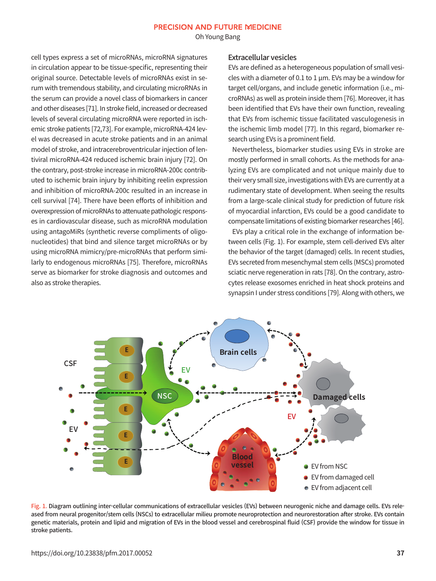Oh Young Bang

cell types express a set of microRNAs, microRNA signatures in circulation appear to be tissue-specific, representing their original source. Detectable levels of microRNAs exist in serum with tremendous stability, and circulating microRNAs in the serum can provide a novel class of biomarkers in cancer and other diseases [71]. In stroke field, increased or decreased levels of several circulating microRNA were reported in ischemic stroke patients [72,73]. For example, microRNA-424 level was decreased in acute stroke patients and in an animal model of stroke, and intracerebroventricular injection of lentiviral microRNA-424 reduced ischemic brain injury [72]. On the contrary, post-stroke increase in microRNA-200c contributed to ischemic brain injury by inhibiting reelin expression and inhibition of microRNA-200c resulted in an increase in cell survival [74]. There have been efforts of inhibition and overexpression of microRNAs to attenuate pathologic responses in cardiovascular disease, such as microRNA modulation using antagoMiRs (synthetic reverse compliments of oligonucleotides) that bind and silence target microRNAs or by using microRNA mimicry/pre-microRNAs that perform similarly to endogenous microRNAs [75]. Therefore, microRNAs serve as biomarker for stroke diagnosis and outcomes and also as stroke therapies.

#### Extracellular vesicles

EVs are defined as a heterogeneous population of small vesicles with a diameter of 0.1 to 1  $\mu$ m. EVs may be a window for target cell/organs, and include genetic information (i.e., microRNAs) as well as protein inside them [76]. Moreover, it has been identified that EVs have their own function, revealing that EVs from ischemic tissue facilitated vasculogenesis in the ischemic limb model [77]. In this regard, biomarker research using EVs is a prominent field.

Nevertheless, biomarker studies using EVs in stroke are mostly performed in small cohorts. As the methods for analyzing EVs are complicated and not unique mainly due to their very small size, investigations with EVs are currently at a rudimentary state of development. When seeing the results from a large-scale clinical study for prediction of future risk of myocardial infarction, EVs could be a good candidate to compensate limitations of existing biomarker researches [46].

EVs play a critical role in the exchange of information between cells (Fig. 1). For example, stem cell-derived EVs alter the behavior of the target (damaged) cells. In recent studies, EVs secreted from mesenchymal stem cells (MSCs) promoted sciatic nerve regeneration in rats [78]. On the contrary, astrocytes release exosomes enriched in heat shock proteins and synapsin I under stress conditions [79]. Along with others, we



Fig. 1. Diagram outlining inter-cellular communications of extracellular vesicles (EVs) between neurogenic niche and damage cells. EVs released from neural progenitor/stem cells (NSCs) to extracellular milieu promote neuroprotection and neurorestoration after stroke. EVs contain genetic materials, protein and lipid and migration of EVs in the blood vessel and cerebrospinal fluid (CSF) provide the window for tissue in stroke patients.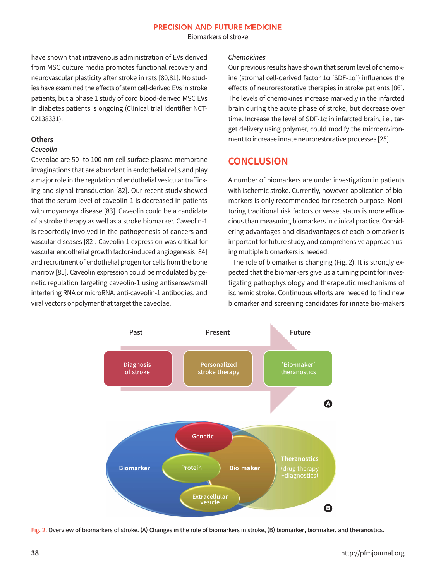Biomarkers of stroke

have shown that intravenous administration of EVs derived from MSC culture media promotes functional recovery and neurovascular plasticity after stroke in rats [80,81]. No studies have examined the effects of stem cell-derived EVs in stroke patients, but a phase 1 study of cord blood-derived MSC EVs in diabetes patients is ongoing (Clinical trial identifier NCT-02138331).

#### **Others**

#### Caveolin

Caveolae are 50- to 100-nm cell surface plasma membrane invaginations that are abundant in endothelial cells and play a major role in the regulation of endothelial vesicular trafficking and signal transduction [82]. Our recent study showed that the serum level of caveolin-1 is decreased in patients with moyamoya disease [83]. Caveolin could be a candidate of a stroke therapy as well as a stroke biomarker. Caveolin-1 is reportedly involved in the pathogenesis of cancers and vascular diseases [82]. Caveolin-1 expression was critical for vascular endothelial growth factor-induced angiogenesis [84] and recruitment of endothelial progenitor cells from the bone marrow [85]. Caveolin expression could be modulated by genetic regulation targeting caveolin-1 using antisense/small interfering RNA or microRNA, anti-caveolin-1 antibodies, and viral vectors or polymer that target the caveolae.

#### Chemokines

Our previous results have shown that serum level of chemokine (stromal cell-derived factor 1α [SDF-1α]) influences the effects of neurorestorative therapies in stroke patients [86]. The levels of chemokines increase markedly in the infarcted brain during the acute phase of stroke, but decrease over time. Increase the level of SDF-1α in infarcted brain, i.e., target delivery using polymer, could modify the microenvironment to increase innate neurorestorative processes [25].

# **CONCLUSION**

A number of biomarkers are under investigation in patients with ischemic stroke. Currently, however, application of biomarkers is only recommended for research purpose. Monitoring traditional risk factors or vessel status is more efficacious than measuring biomarkers in clinical practice. Considering advantages and disadvantages of each biomarker is important for future study, and comprehensive approach using multiple biomarkers is needed.

The role of biomarker is changing (Fig. 2). It is strongly expected that the biomarkers give us a turning point for investigating pathophysiology and therapeutic mechanisms of ischemic stroke. Continuous efforts are needed to find new biomarker and screening candidates for innate bio-makers



Fig. 2. Overview of biomarkers of stroke. (A) Changes in the role of biomarkers in stroke, (B) biomarker, bio-maker, and theranostics.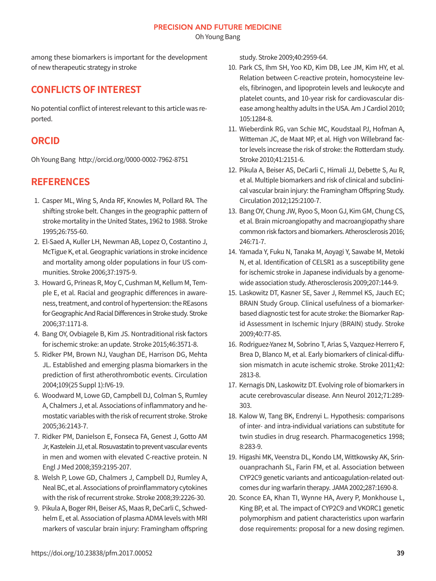Oh Young Bang

among these biomarkers is important for the development of new therapeutic strategy in stroke

## **CONFLICTS OF INTEREST**

No potential conflict of interest relevant to this article was reported.

# **ORCID**

Oh Young Bang http://orcid.org/0000-0002-7962-8751

# **REFERENCES**

- 1. Casper ML, Wing S, Anda RF, Knowles M, Pollard RA. The shifting stroke belt. Changes in the geographic pattern of stroke mortality in the United States, 1962 to 1988. Stroke 1995;26:755-60.
- 2. El-Saed A, Kuller LH, Newman AB, Lopez O, Costantino J, McTigue K, et al. Geographic variations in stroke incidence and mortality among older populations in four US communities. Stroke 2006;37:1975-9.
- 3. Howard G, Prineas R, Moy C, Cushman M, Kellum M, Temple E, et al. Racial and geographic differences in awareness, treatment, and control of hypertension: the REasons for Geographic And Racial Differences in Stroke study. Stroke 2006;37:1171-8.
- 4. Bang OY, Ovbiagele B, Kim JS. Nontraditional risk factors for ischemic stroke: an update. Stroke 2015;46:3571-8.
- 5. Ridker PM, Brown NJ, Vaughan DE, Harrison DG, Mehta JL. Established and emerging plasma biomarkers in the prediction of first atherothrombotic events. Circulation 2004;109(25 Suppl 1):IV6-19.
- 6. Woodward M, Lowe GD, Campbell DJ, Colman S, Rumley A, Chalmers J, et al. Associations of inflammatory and hemostatic variables with the risk of recurrent stroke. Stroke 2005;36:2143-7.
- 7. Ridker PM, Danielson E, Fonseca FA, Genest J, Gotto AM Jr, Kastelein JJ, et al. Rosuvastatin to prevent vascular events in men and women with elevated C-reactive protein. N Engl J Med 2008;359:2195-207.
- 8. Welsh P, Lowe GD, Chalmers J, Campbell DJ, Rumley A, Neal BC, et al. Associations of proinflammatory cytokines with the risk of recurrent stroke. Stroke 2008;39:2226-30.
- 9. Pikula A, Boger RH, Beiser AS, Maas R, DeCarli C, Schwedhelm E, et al. Association of plasma ADMA levels with MRI markers of vascular brain injury: Framingham offspring

study. Stroke 2009;40:2959-64.

- 10. Park CS, Ihm SH, Yoo KD, Kim DB, Lee JM, Kim HY, et al. Relation between C-reactive protein, homocysteine levels, fibrinogen, and lipoprotein levels and leukocyte and platelet counts, and 10-year risk for cardiovascular disease among healthy adults in the USA. Am J Cardiol 2010; 105:1284-8.
- 11. Wieberdink RG, van Schie MC, Koudstaal PJ, Hofman A, Witteman JC, de Maat MP, et al. High von Willebrand factor levels increase the risk of stroke: the Rotterdam study. Stroke 2010;41:2151-6.
- 12. Pikula A, Beiser AS, DeCarli C, Himali JJ, Debette S, Au R, et al. Multiple biomarkers and risk of clinical and subclinical vascular brain injury: the Framingham Offspring Study. Circulation 2012;125:2100-7.
- 13. Bang OY, Chung JW, Ryoo S, Moon GJ, Kim GM, Chung CS, et al. Brain microangiopathy and macroangiopathy share common risk factors and biomarkers. Atherosclerosis 2016; 246:71-7.
- 14. Yamada Y, Fuku N, Tanaka M, Aoyagi Y, Sawabe M, Metoki N, et al. Identification of CELSR1 as a susceptibility gene for ischemic stroke in Japanese individuals by a genomewide association study. Atherosclerosis 2009;207:144-9.
- 15. Laskowitz DT, Kasner SE, Saver J, Remmel KS, Jauch EC; BRAIN Study Group. Clinical usefulness of a biomarkerbased diagnostic test for acute stroke: the Biomarker Rapid Assessment in Ischemic Injury (BRAIN) study. Stroke 2009;40:77-85.
- 16. Rodriguez-Yanez M, Sobrino T, Arias S, Vazquez-Herrero F, Brea D, Blanco M, et al. Early biomarkers of clinical-diffusion mismatch in acute ischemic stroke. Stroke 2011;42: 2813-8.
- 17. Kernagis DN, Laskowitz DT. Evolving role of biomarkers in acute cerebrovascular disease. Ann Neurol 2012;71:289-303.
- 18. Kalow W, Tang BK, Endrenyi L. Hypothesis: comparisons of inter- and intra-individual variations can substitute for twin studies in drug research. Pharmacogenetics 1998; 8:283-9.
- 19. Higashi MK, Veenstra DL, Kondo LM, Wittkowsky AK, Srinouanprachanh SL, Farin FM, et al. Association between CYP2C9 genetic variants and anticoagulation-related outcomes dur ing warfarin therapy. JAMA 2002;287:1690-8.
- 20. Sconce EA, Khan TI, Wynne HA, Avery P, Monkhouse L, King BP, et al. The impact of CYP2C9 and VKORC1 genetic polymorphism and patient characteristics upon warfarin dose requirements: proposal for a new dosing regimen.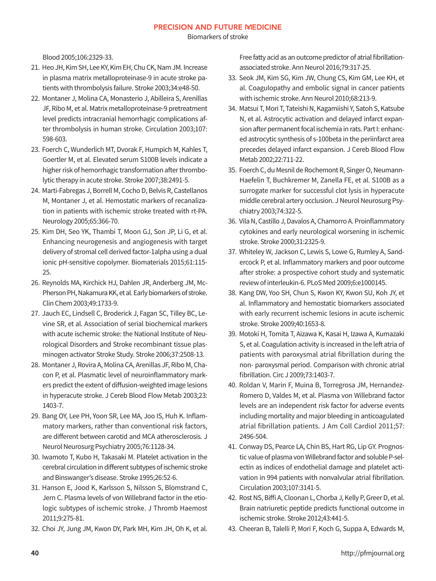Biomarkers of stroke

Blood 2005;106:2329-33.

- 21. Heo JH, Kim SH, Lee KY, Kim EH, Chu CK, Nam JM. Increase in plasma matrix metalloproteinase-9 in acute stroke patients with thrombolysis failure. Stroke 2003;34:e48-50.
- 22. Montaner J, Molina CA, Monasterio J, Abilleira S, Arenillas JF, Ribo M, et al. Matrix metalloproteinase-9 pretreatment level predicts intracranial hemorrhagic complications after thrombolysis in human stroke. Circulation 2003;107: 598-603.
- 23. Foerch C, Wunderlich MT, Dvorak F, Humpich M, Kahles T, Goertler M, et al. Elevated serum S100B levels indicate a higher risk of hemorrhagic transformation after thrombolytic therapy in acute stroke. Stroke 2007;38:2491-5.
- 24. Marti-Fabregas J, Borrell M, Cocho D, Belvis R, Castellanos M, Montaner J, et al. Hemostatic markers of recanalization in patients with ischemic stroke treated with rt-PA. Neurology 2005;65:366-70.
- 25. Kim DH, Seo YK, Thambi T, Moon GJ, Son JP, Li G, et al. Enhancing neurogenesis and angiogenesis with target delivery of stromal cell derived factor-1alpha using a dual ionic pH-sensitive copolymer. Biomaterials 2015;61:115-25.
- 26. Reynolds MA, Kirchick HJ, Dahlen JR, Anderberg JM, Mc-Pherson PH, Nakamura KK, et al. Early biomarkers of stroke. Clin Chem 2003;49:1733-9.
- 27. Jauch EC, Lindsell C, Broderick J, Fagan SC, Tilley BC, Levine SR, et al. Association of serial biochemical markers with acute ischemic stroke: the National Institute of Neurological Disorders and Stroke recombinant tissue plasminogen activator Stroke Study. Stroke 2006;37:2508-13.
- 28. Montaner J, Rovira A, Molina CA, Arenillas JF, Ribo M, Chacon P, et al. Plasmatic level of neuroinflammatory markers predict the extent of diffusion-weighted image lesions in hyperacute stroke. J Cereb Blood Flow Metab 2003;23: 1403-7.
- 29. Bang OY, Lee PH, Yoon SR, Lee MA, Joo IS, Huh K. Inflammatory markers, rather than conventional risk factors, are different between carotid and MCA atherosclerosis. J Neurol Neurosurg Psychiatry 2005;76:1128-34.
- 30. Iwamoto T, Kubo H, Takasaki M. Platelet activation in the cerebral circulation in different subtypes of ischemic stroke and Binswanger's disease. Stroke 1995;26:52-6.
- 31. Hanson E, Jood K, Karlsson S, Nilsson S, Blomstrand C, Jern C. Plasma levels of von Willebrand factor in the etiologic subtypes of ischemic stroke. J Thromb Haemost 2011;9:275-81.
- 32. Choi JY, Jung JM, Kwon DY, Park MH, Kim JH, Oh K, et al.

Free fatty acid as an outcome predictor of atrial fibrillationassociated stroke. Ann Neurol 2016;79:317-25.

- 33. Seok JM, Kim SG, Kim JW, Chung CS, Kim GM, Lee KH, et al. Coagulopathy and embolic signal in cancer patients with ischemic stroke. Ann Neurol 2010;68:213-9.
- 34. Matsui T, Mori T, Tateishi N, Kagamiishi Y, Satoh S, Katsube N, et al. Astrocytic activation and delayed infarct expansion after permanent focal ischemia in rats. Part I: enhanced astrocytic synthesis of s-100beta in the periinfarct area precedes delayed infarct expansion. J Cereb Blood Flow Metab 2002;22:711-22.
- 35. Foerch C, du Mesnil de Rochemont R, Singer O, Neumann-Haefelin T, Buchkremer M, Zanella FE, et al. S100B as a surrogate marker for successful clot lysis in hyperacute middle cerebral artery occlusion. J Neurol Neurosurg Psychiatry 2003;74:322-5.
- 36. Vila N, Castillo J, Davalos A, Chamorro A. Proinflammatory cytokines and early neurological worsening in ischemic stroke. Stroke 2000;31:2325-9.
- 37. Whiteley W, Jackson C, Lewis S, Lowe G, Rumley A, Sandercock P, et al. Inflammatory markers and poor outcome after stroke: a prospective cohort study and systematic review of interleukin-6. PLoS Med 2009;6:e1000145.
- 38. Kang DW, Yoo SH, Chun S, Kwon KY, Kwon SU, Koh JY, et al. Inflammatory and hemostatic biomarkers associated with early recurrent ischemic lesions in acute ischemic stroke. Stroke 2009;40:1653-8.
- 39. Motoki H, Tomita T, Aizawa K, Kasai H, Izawa A, Kumazaki S, et al. Coagulation activity is increased in the left atria of patients with paroxysmal atrial fibrillation during the non- paroxysmal period. Comparison with chronic atrial fibrillation. Circ J 2009;73:1403-7.
- 40. Roldan V, Marin F, Muina B, Torregrosa JM, Hernandez-Romero D, Valdes M, et al. Plasma von Willebrand factor levels are an independent risk factor for adverse events including mortality and major bleeding in anticoagulated atrial fibrillation patients. J Am Coll Cardiol 2011;57: 2496-504.
- 41. Conway DS, Pearce LA, Chin BS, Hart RG, Lip GY. Prognostic value of plasma von Willebrand factor and soluble P-selectin as indices of endothelial damage and platelet activation in 994 patients with nonvalvular atrial fibrillation. Circulation 2003;107:3141-5.
- 42. Rost NS, Biffi A, Cloonan L, Chorba J, Kelly P, Greer D, et al. Brain natriuretic peptide predicts functional outcome in ischemic stroke. Stroke 2012;43:441-5.
- 43. Cheeran B, Talelli P, Mori F, Koch G, Suppa A, Edwards M,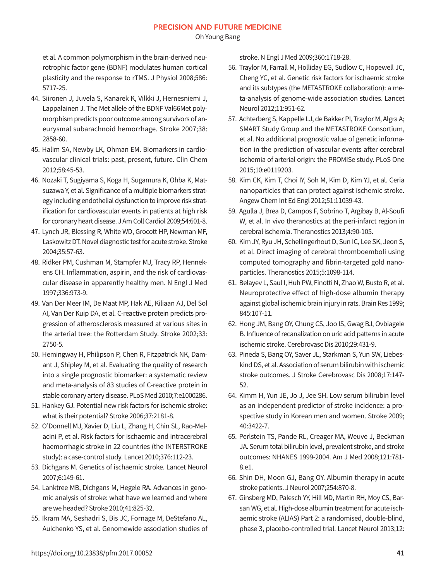Oh Young Bang

et al. A common polymorphism in the brain-derived neurotrophic factor gene (BDNF) modulates human cortical plasticity and the response to rTMS. J Physiol 2008;586: 5717-25.

- 44. Siironen J, Juvela S, Kanarek K, Vilkki J, Hernesniemi J, Lappalainen J. The Met allele of the BDNF Val66Met polymorphism predicts poor outcome among survivors of aneurysmal subarachnoid hemorrhage. Stroke 2007;38: 2858-60.
- 45. Halim SA, Newby LK, Ohman EM. Biomarkers in cardiovascular clinical trials: past, present, future. Clin Chem 2012;58:45-53.
- 46. Nozaki T, Sugiyama S, Koga H, Sugamura K, Ohba K, Matsuzawa Y, et al. Significance of a multiple biomarkers strategy including endothelial dysfunction to improve risk stratification for cardiovascular events in patients at high risk for coronary heart disease. J Am Coll Cardiol 2009;54:601-8.
- 47. Lynch JR, Blessing R, White WD, Grocott HP, Newman MF, Laskowitz DT. Novel diagnostic test for acute stroke. Stroke 2004;35:57-63.
- 48. Ridker PM, Cushman M, Stampfer MJ, Tracy RP, Hennekens CH. Inflammation, aspirin, and the risk of cardiovascular disease in apparently healthy men. N Engl J Med 1997;336:973-9.
- 49. Van Der Meer IM, De Maat MP, Hak AE, Kiliaan AJ, Del Sol AI, Van Der Kuip DA, et al. C-reactive protein predicts progression of atherosclerosis measured at various sites in the arterial tree: the Rotterdam Study. Stroke 2002;33: 2750-5.
- 50. Hemingway H, Philipson P, Chen R, Fitzpatrick NK, Damant J, Shipley M, et al. Evaluating the quality of research into a single prognostic biomarker: a systematic review and meta-analysis of 83 studies of C-reactive protein in stable coronary artery disease. PLoS Med 2010;7:e1000286.
- 51. Hankey GJ. Potential new risk factors for ischemic stroke: what is their potential? Stroke 2006;37:2181-8.
- 52. O'Donnell MJ, Xavier D, Liu L, Zhang H, Chin SL, Rao-Melacini P, et al. Risk factors for ischaemic and intracerebral haemorrhagic stroke in 22 countries (the INTERSTROKE study): a case-control study. Lancet 2010;376:112-23.
- 53. Dichgans M. Genetics of ischaemic stroke. Lancet Neurol 2007;6:149-61.
- 54. Lanktree MB, Dichgans M, Hegele RA. Advances in genomic analysis of stroke: what have we learned and where are we headed? Stroke 2010;41:825-32.
- 55. Ikram MA, Seshadri S, Bis JC, Fornage M, DeStefano AL, Aulchenko YS, et al. Genomewide association studies of

stroke. N Engl J Med 2009;360:1718-28.

- 56. Traylor M, Farrall M, Holliday EG, Sudlow C, Hopewell JC, Cheng YC, et al. Genetic risk factors for ischaemic stroke and its subtypes (the METASTROKE collaboration): a meta-analysis of genome-wide association studies. Lancet Neurol 2012;11:951-62.
- 57. Achterberg S, Kappelle LJ, de Bakker PI, Traylor M, Algra A; SMART Study Group and the METASTROKE Consortium, et al. No additional prognostic value of genetic information in the prediction of vascular events after cerebral ischemia of arterial origin: the PROMISe study. PLoS One 2015;10:e0119203.
- 58. Kim CK, Kim T, Choi IY, Soh M, Kim D, Kim YJ, et al. Ceria nanoparticles that can protect against ischemic stroke. Angew Chem Int Ed Engl 2012;51:11039-43.
- 59. Agulla J, Brea D, Campos F, Sobrino T, Argibay B, Al-Soufi W, et al. In vivo theranostics at the peri-infarct region in cerebral ischemia. Theranostics 2013;4:90-105.
- 60. Kim JY, Ryu JH, Schellingerhout D, Sun IC, Lee SK, Jeon S, et al. Direct imaging of cerebral thromboemboli using computed tomography and fibrin-targeted gold nanoparticles. Theranostics 2015;5:1098-114.
- 61. Belayev L, Saul I, Huh PW, Finotti N, Zhao W, Busto R, et al. Neuroprotective effect of high-dose albumin therapy against global ischemic brain injury in rats. Brain Res 1999; 845:107-11.
- 62. Hong JM, Bang OY, Chung CS, Joo IS, Gwag BJ, Ovbiagele B. Influence of recanalization on uric acid patterns in acute ischemic stroke. Cerebrovasc Dis 2010;29:431-9.
- 63. Pineda S, Bang OY, Saver JL, Starkman S, Yun SW, Liebeskind DS, et al. Association of serum bilirubin with ischemic stroke outcomes. J Stroke Cerebrovasc Dis 2008;17:147-52.
- 64. Kimm H, Yun JE, Jo J, Jee SH. Low serum bilirubin level as an independent predictor of stroke incidence: a prospective study in Korean men and women. Stroke 2009; 40:3422-7.
- 65. Perlstein TS, Pande RL, Creager MA, Weuve J, Beckman JA. Serum total bilirubin level, prevalent stroke, and stroke outcomes: NHANES 1999-2004. Am J Med 2008;121:781-8.e1.
- 66. Shin DH, Moon GJ, Bang OY. Albumin therapy in acute stroke patients. J Neurol 2007;254:870-8.
- 67. Ginsberg MD, Palesch YY, Hill MD, Martin RH, Moy CS, Barsan WG, et al. High-dose albumin treatment for acute ischaemic stroke (ALIAS) Part 2: a randomised, double-blind, phase 3, placebo-controlled trial. Lancet Neurol 2013;12: